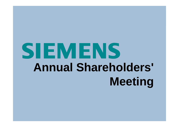## SIEMENS **Annual Shareholders' Meeting**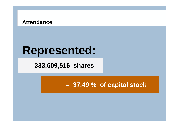#### **Attendance**

### **Represented:**

#### **333,609,516 shares**

#### **= 37.4 9 % of capital stock**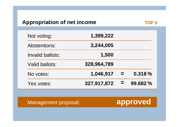#### **Appropriation of net income**

| Not voting:             | 1,399,222   |          |          |
|-------------------------|-------------|----------|----------|
| <b>Abstentions:</b>     | 3,244,005   |          |          |
| <b>Invalid ballots:</b> | 1,500       |          |          |
| <b>Valid ballots:</b>   | 328,964,789 |          |          |
| No votes:               | 1,046,917   | $\equiv$ | 0.318%   |
| Yes votes:              | 327,917,872 | $=$      | 99.682 % |

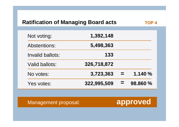#### **Ratification of Managing Board acts**

| Not voting:             | 1,392,148   |   |          |
|-------------------------|-------------|---|----------|
| <b>Abstentions:</b>     | 5,498,363   |   |          |
| <b>Invalid ballots:</b> | 133         |   |          |
| <b>Valid ballots:</b>   | 326,718,872 |   |          |
| No votes:               | 3,723,363   |   | 1.140%   |
| Yes votes:              | 322,995,509 | = | 98.860 % |

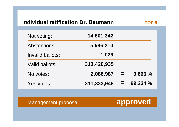#### **Individual ratification Dr. Baumann**

| Not voting:             | 14,601,342  |     |          |
|-------------------------|-------------|-----|----------|
| <b>Abstentions:</b>     | 5,586,210   |     |          |
| <b>Invalid ballots:</b> | 1,029       |     |          |
| <b>Valid ballots:</b>   | 313,420,935 |     |          |
| No votes:               | 2,086,987   | $=$ | 0.666%   |
| Yes votes:              | 311,333,948 | $=$ | 99.334 % |

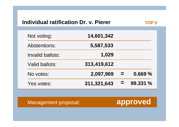#### **Individual ratification Dr. v. Pierer**

| Not voting:             | 14,601,342  |     |          |
|-------------------------|-------------|-----|----------|
| <b>Abstentions:</b>     | 5,587,533   |     |          |
| <b>Invalid ballots:</b> | 1,029       |     |          |
| <b>Valid ballots:</b>   | 313,419,612 |     |          |
| No votes:               | 2,097,969   |     | 0.669%   |
| Yes votes:              | 311,321,643 | $=$ | 99.331 % |

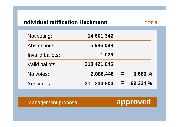#### **Individual ratification Heckmann**

| Not voting:         | 14,601,342  |     |          |
|---------------------|-------------|-----|----------|
| <b>Abstentions:</b> | 5,586,099   |     |          |
| Invalid ballots:    | 1,029       |     |          |
| Valid ballots:      | 313,421,046 |     |          |
| No votes:           | 2,086,446   | $=$ | 0.666%   |
| Yes votes:          | 311,334,600 | =   | 99.334 % |

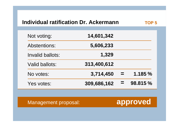#### **Individual ratification Dr. Ackermann**

| Not voting:             | 14,601,342  |          |          |
|-------------------------|-------------|----------|----------|
| <b>Abstentions:</b>     | 5,606,233   |          |          |
| <b>Invalid ballots:</b> | 1,329       |          |          |
| <b>Valid ballots:</b>   | 313,400,612 |          |          |
| No votes:               | 3,714,450   | $\equiv$ | 1.185%   |
| Yes votes:              | 309,686,162 | $\equiv$ | 98.815 % |

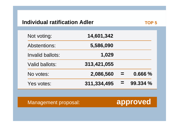#### **Individual ratification Adler**

| Not voting:           | 14,601,342  |          |          |
|-----------------------|-------------|----------|----------|
| Abstentions:          | 5,586,090   |          |          |
| Invalid ballots:      | 1,029       |          |          |
| <b>Valid ballots:</b> | 313,421,055 |          |          |
| No votes:             | 2,086,560   | $\equiv$ | 0.666%   |
| Yes votes:            | 311,334,495 | $\equiv$ | 99.334 % |

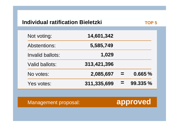#### **Individual ratification Bieletzki**

TOP<sub>5</sub>

| Not voting:             | 14,601,342  |     |          |
|-------------------------|-------------|-----|----------|
| Abstentions:            | 5,585,749   |     |          |
| <b>Invalid ballots:</b> | 1,029       |     |          |
| <b>Valid ballots:</b>   | 313,421,396 |     |          |
| No votes:               | 2,085,697   | $=$ | 0.665%   |
| Yes votes:              | 311,335,699 | $=$ | 99.335 % |

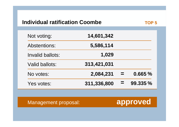#### **Individual ratification Coombe**

| Not voting:           | 14,601,342  |     |          |
|-----------------------|-------------|-----|----------|
| <b>Abstentions:</b>   | 5,586,114   |     |          |
| Invalid ballots:      | 1,029       |     |          |
| <b>Valid ballots:</b> | 313,421,031 |     |          |
| No votes:             | 2,084,231   | $=$ | 0.665%   |
| Yes votes:            | 311,336,800 | $=$ | 99.335 % |

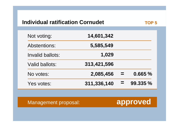#### **Individual ratification Cornudet**

TOP<sub>5</sub>

| Not voting:             | 14,601,342  |          |          |
|-------------------------|-------------|----------|----------|
| <b>Abstentions:</b>     | 5,585,549   |          |          |
| <b>Invalid ballots:</b> | 1,029       |          |          |
| Valid ballots:          | 313,421,596 |          |          |
| No votes:               | 2,085,456   | $\equiv$ | 0.665%   |
| Yes votes:              | 311,336,140 | $=$      | 99.335 % |

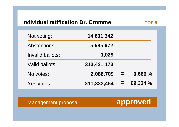#### **Individual ratification Dr. Cromme**

| Not voting:           | 14,601,342  |          |          |
|-----------------------|-------------|----------|----------|
| <b>Abstentions:</b>   | 5,585,972   |          |          |
| Invalid ballots:      | 1,029       |          |          |
| <b>Valid ballots:</b> | 313,421,173 |          |          |
| No votes:             | 2,088,709   |          | 0.666 %  |
| Yes votes:            | 311,332,464 | $\equiv$ | 99.334 % |

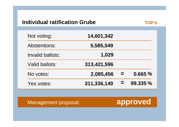#### **Individual ratification Grube**

| Not voting:           | 14,601,342  |     |          |
|-----------------------|-------------|-----|----------|
| <b>Abstentions:</b>   | 5,585,549   |     |          |
| Invalid ballots:      | 1,029       |     |          |
| <b>Valid ballots:</b> | 313,421,596 |     |          |
| No votes:             | 2,085,456   | $=$ | 0.665%   |
| Yes votes:            | 311,336,140 | =   | 99.335 % |

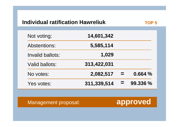#### **Individual ratification Hawreliuk**

| Not voting:           | 14,601,342  |          |          |
|-----------------------|-------------|----------|----------|
| Abstentions:          | 5,585,114   |          |          |
| Invalid ballots:      | 1,029       |          |          |
| <b>Valid ballots:</b> | 313,422,031 |          |          |
| No votes:             | 2,082,517   | $\equiv$ | 0.664%   |
| Yes votes:            | 311,339,514 | =        | 99.336 % |

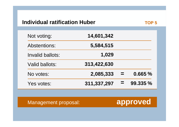#### **Individual ratification Huber**

| Not voting:             | 14,601,342  |          |          |
|-------------------------|-------------|----------|----------|
| <b>Abstentions:</b>     | 5,584,515   |          |          |
| <b>Invalid ballots:</b> | 1,029       |          |          |
| <b>Valid ballots:</b>   | 313,422,630 |          |          |
| No votes:               | 2,085,333   | $\equiv$ | 0.665%   |
| Yes votes:              | 311,337,297 | =        | 99.335 % |

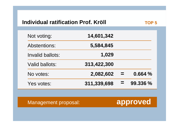#### **Individual ratification Prof. Kröll**

TOP<sub>5</sub>

| Not voting:           | 14,601,342  |          |          |
|-----------------------|-------------|----------|----------|
| Abstentions:          | 5,584,845   |          |          |
| Invalid ballots:      | 1,029       |          |          |
| <b>Valid ballots:</b> | 313,422,300 |          |          |
| No votes:             | 2,082,602   | $\equiv$ | 0.664%   |
| Yes votes:            | 311,339,698 | $=$      | 99.336 % |

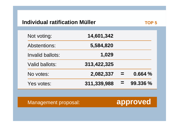#### **Individual ratification Müller**

| Not voting:             | 14,601,342  |          |          |
|-------------------------|-------------|----------|----------|
| <b>Abstentions:</b>     | 5,584,820   |          |          |
| <b>Invalid ballots:</b> | 1,029       |          |          |
| <b>Valid ballots:</b>   | 313,422,325 |          |          |
| No votes:               | 2,082,337   | $\equiv$ | 0.664%   |
| Yes votes:              | 311,339,988 | $=$      | 99.336 % |

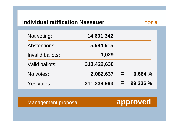#### **Individual ratification Nassauer**

| Not voting:             | 14,601,342  |          |          |
|-------------------------|-------------|----------|----------|
| Abstentions:            | 5.584,515   |          |          |
| <b>Invalid ballots:</b> | 1,029       |          |          |
| <b>Valid ballots:</b>   | 313,422,630 |          |          |
| No votes:               | 2,082,637   | <b>E</b> | 0.664 %  |
| Yes votes:              | 311,339,993 | =        | 99.336 % |

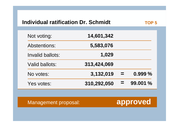#### **Individual ratification Dr. Schmidt TOP 5**

| Not voting:             | 14,601,342  |          |          |
|-------------------------|-------------|----------|----------|
| Abstentions:            | 5,583,076   |          |          |
| <b>Invalid ballots:</b> | 1,029       |          |          |
| Valid ballots:          | 313,424,069 |          |          |
| No votes:               | 3,132,019   | $\equiv$ | 0.999 %  |
| Yes votes:              | 310,292,050 | $=$      | 99.001 % |

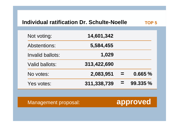#### **Individual ratification Dr. Schulte-NoelleTOP 5**

| Not voting:           | 14,601,342  |     |          |
|-----------------------|-------------|-----|----------|
| <b>Abstentions:</b>   | 5,584,455   |     |          |
| Invalid ballots:      | 1,029       |     |          |
| <b>Valid ballots:</b> | 313,422,690 |     |          |
| No votes:             | 2,083,951   | $=$ | 0.665%   |
| Yes votes:            | 311,338,739 | =   | 99.335 % |

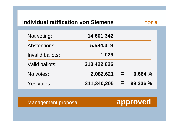#### **Individual ratification von Siemens**

| Not voting:           | 14,601,342  |     |          |
|-----------------------|-------------|-----|----------|
| <b>Abstentions:</b>   | 5,584,319   |     |          |
| Invalid ballots:      | 1,029       |     |          |
| <b>Valid ballots:</b> | 313,422,826 |     |          |
| No votes:             | 2,082,621   | $=$ | 0.664%   |
| Yes votes:            | 311,340,205 | $=$ | 99.336 % |

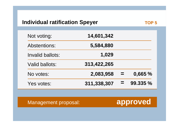#### **Individual ratification Speyer TOP 5**

| Not voting:             | 14,601,342  |          |          |
|-------------------------|-------------|----------|----------|
| Abstentions:            | 5,584,880   |          |          |
| <b>Invalid ballots:</b> | 1,029       |          |          |
| <b>Valid ballots:</b>   | 313,422,265 |          |          |
| No votes:               | 2,083,958   | $\equiv$ | 0,665 %  |
| Yes votes:              | 311,338,307 | $=$      | 99.335 % |

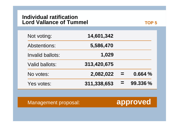#### **Individual ratification Lord Vallance of Tummel**

| Not voting:           | 14,601,342  |     |          |
|-----------------------|-------------|-----|----------|
| <b>Abstentions:</b>   | 5,586,470   |     |          |
| Invalid ballots:      | 1,029       |     |          |
| <b>Valid ballots:</b> | 313,420,675 |     |          |
| No votes:             | 2,082,022   | $=$ | 0.664%   |
| Yes votes:            | 311,338,653 | $=$ | 99.336 % |

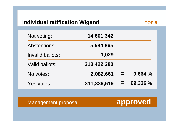#### **Individual ratification Wigand TOP 5**

| Not voting:           | 14,601,342  |          |          |
|-----------------------|-------------|----------|----------|
| <b>Abstentions:</b>   | 5,584,865   |          |          |
| Invalid ballots:      | 1,029       |          |          |
| <b>Valid ballots:</b> | 313,422,280 |          |          |
| No votes:             | 2,082,661   | $\equiv$ | 0.664 %  |
| Yes votes:            | 311,339,619 | $\equiv$ | 99.336 % |

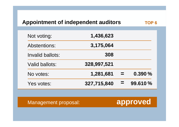#### **Appointment of independent auditors**

| Not voting:           | 1,436,623   |          |         |
|-----------------------|-------------|----------|---------|
| <b>Abstentions:</b>   | 3,175,064   |          |         |
| Invalid ballots:      | 308         |          |         |
| <b>Valid ballots:</b> | 328,997,521 |          |         |
| No votes:             | 1,281,681   | $\equiv$ | 0.390%  |
| Yes votes:            | 327,715,840 | $\equiv$ | 99.610% |

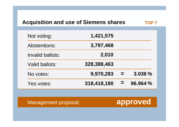#### Acquisition and use of Siemens shares **TOP 7**

| Not voting:           | 1,421,575   |     |          |
|-----------------------|-------------|-----|----------|
| <b>Abstentions:</b>   | 3,797,468   |     |          |
| Invalid ballots:      | 2,010       |     |          |
| <b>Valid ballots:</b> | 328,388,463 |     |          |
| No votes:             | 9,970,283   | $=$ | 3.036 %  |
| Yes votes:            | 318,418,180 | =   | 96.964 % |

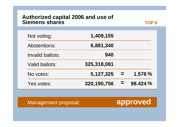## **Authorized capital 2006 and use of Siemens shares**

| Not voting:           | 1,409,155   |          |          |
|-----------------------|-------------|----------|----------|
| <b>Abstentions:</b>   | 6,881,340   |          |          |
| Invalid ballots:      | 940         |          |          |
| <b>Valid ballots:</b> | 325,318,081 |          |          |
| No votes:             | 5,127,325   | $\equiv$ | 1.576 %  |
| Yes votes:            | 320,190,756 | $\equiv$ | 98.424 % |

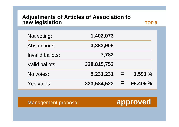## **Adjustments of Articles of Association to new legislation**

**TOP 9**

| Not voting:           | 1,402,073   |          |         |
|-----------------------|-------------|----------|---------|
| <b>Abstentions:</b>   | 3,383,908   |          |         |
| Invalid ballots:      | 7,782       |          |         |
| <b>Valid ballots:</b> | 328,815,753 |          |         |
| No votes:             | 5,231,231   | $\equiv$ | 1.591%  |
| Yes votes:            | 323,584,522 | $\equiv$ | 98.409% |

Management proposal: **approved**